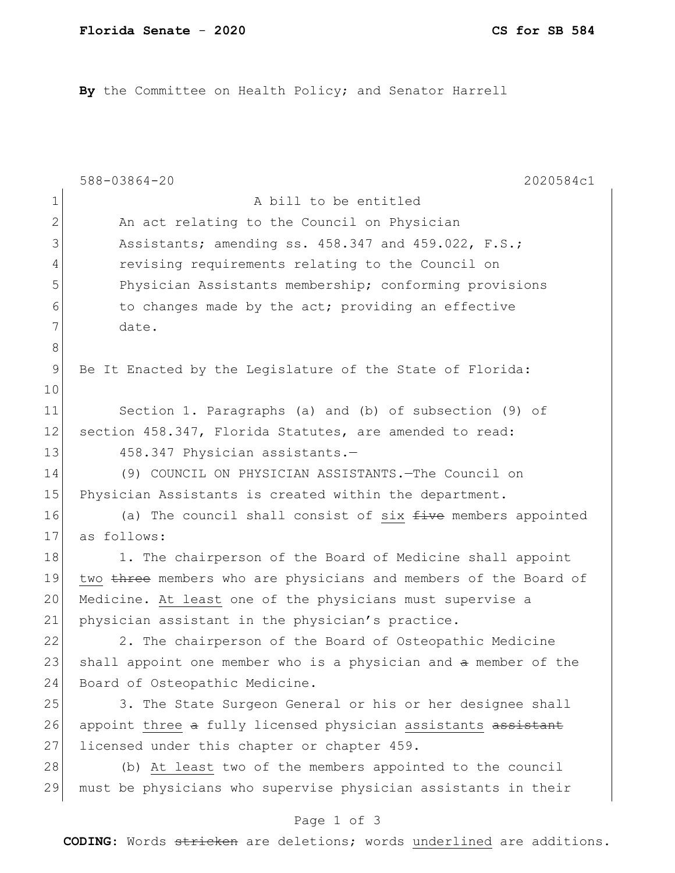**By** the Committee on Health Policy; and Senator Harrell

|             | 588-03864-20<br>2020584c1                                        |
|-------------|------------------------------------------------------------------|
| 1           | A bill to be entitled                                            |
| 2           | An act relating to the Council on Physician                      |
| 3           | Assistants; amending ss. 458.347 and 459.022, F.S.;              |
| 4           | revising requirements relating to the Council on                 |
| 5           | Physician Assistants membership; conforming provisions           |
| 6           | to changes made by the act; providing an effective               |
| 7           | date.                                                            |
| 8           |                                                                  |
| $\mathsf 9$ | Be It Enacted by the Legislature of the State of Florida:        |
| 10          |                                                                  |
| 11          | Section 1. Paragraphs (a) and (b) of subsection (9) of           |
| 12          | section 458.347, Florida Statutes, are amended to read:          |
| 13          | 458.347 Physician assistants.-                                   |
| 14          | (9) COUNCIL ON PHYSICIAN ASSISTANTS. The Council on              |
| 15          | Physician Assistants is created within the department.           |
| 16          | (a) The council shall consist of six five members appointed      |
| 17          | as follows:                                                      |
| 18          | 1. The chairperson of the Board of Medicine shall appoint        |
| 19          | two three members who are physicians and members of the Board of |
| 20          | Medicine. At least one of the physicians must supervise a        |
| 21          | physician assistant in the physician's practice.                 |
| 22          | 2. The chairperson of the Board of Osteopathic Medicine          |
| 23          | shall appoint one member who is a physician and a member of the  |
| 24          | Board of Osteopathic Medicine.                                   |
| 25          | 3. The State Surgeon General or his or her designee shall        |
| 26          | appoint three a fully licensed physician assistants assistant    |
| 27          | licensed under this chapter or chapter 459.                      |
| 28          | (b) At least two of the members appointed to the council         |
| 29          | must be physicians who supervise physician assistants in their   |

## Page 1 of 3

**CODING**: Words stricken are deletions; words underlined are additions.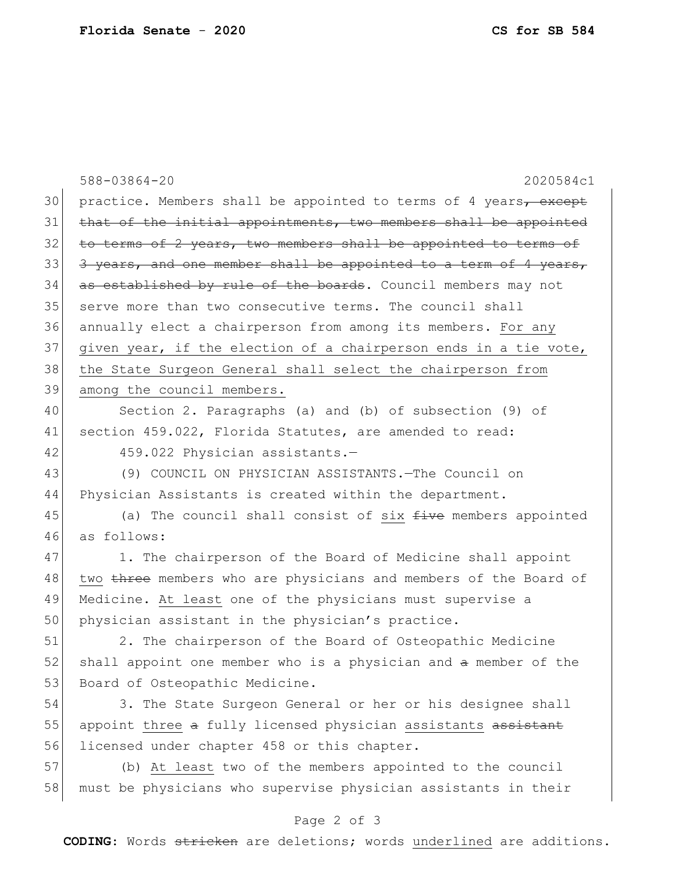|    | 588-03864-20<br>2020584c1                                        |
|----|------------------------------------------------------------------|
| 30 | practice. Members shall be appointed to terms of 4 years, except |
| 31 | that of the initial appointments, two members shall be appointed |
| 32 | to terms of 2 years, two members shall be appointed to terms of  |
| 33 | 3 years, and one member shall be appointed to a term of 4 years, |
| 34 | as established by rule of the boards. Council members may not    |
| 35 | serve more than two consecutive terms. The council shall         |
| 36 | annually elect a chairperson from among its members. For any     |
| 37 | given year, if the election of a chairperson ends in a tie vote, |
| 38 | the State Surgeon General shall select the chairperson from      |
| 39 | among the council members.                                       |
| 40 | Section 2. Paragraphs (a) and (b) of subsection (9) of           |
| 41 | section 459.022, Florida Statutes, are amended to read:          |
| 42 | 459.022 Physician assistants.-                                   |
| 43 | (9) COUNCIL ON PHYSICIAN ASSISTANTS. The Council on              |
| 44 | Physician Assistants is created within the department.           |
| 45 | (a) The council shall consist of six $f$ ive members appointed   |
| 46 | as follows:                                                      |
| 47 | 1. The chairperson of the Board of Medicine shall appoint        |
| 48 | two three members who are physicians and members of the Board of |
| 49 | Medicine. At least one of the physicians must supervise a        |
| 50 | physician assistant in the physician's practice.                 |
| 51 | 2. The chairperson of the Board of Osteopathic Medicine          |
| 52 | shall appoint one member who is a physician and a member of the  |
| 53 | Board of Osteopathic Medicine.                                   |
| 54 | 3. The State Surgeon General or her or his designee shall        |
| 55 | appoint three a fully licensed physician assistants assistant    |
| 56 | licensed under chapter 458 or this chapter.                      |
| 57 | (b) At least two of the members appointed to the council         |
| 58 | must be physicians who supervise physician assistants in their   |
|    | Page 2 of 3                                                      |

**CODING**: Words stricken are deletions; words underlined are additions.